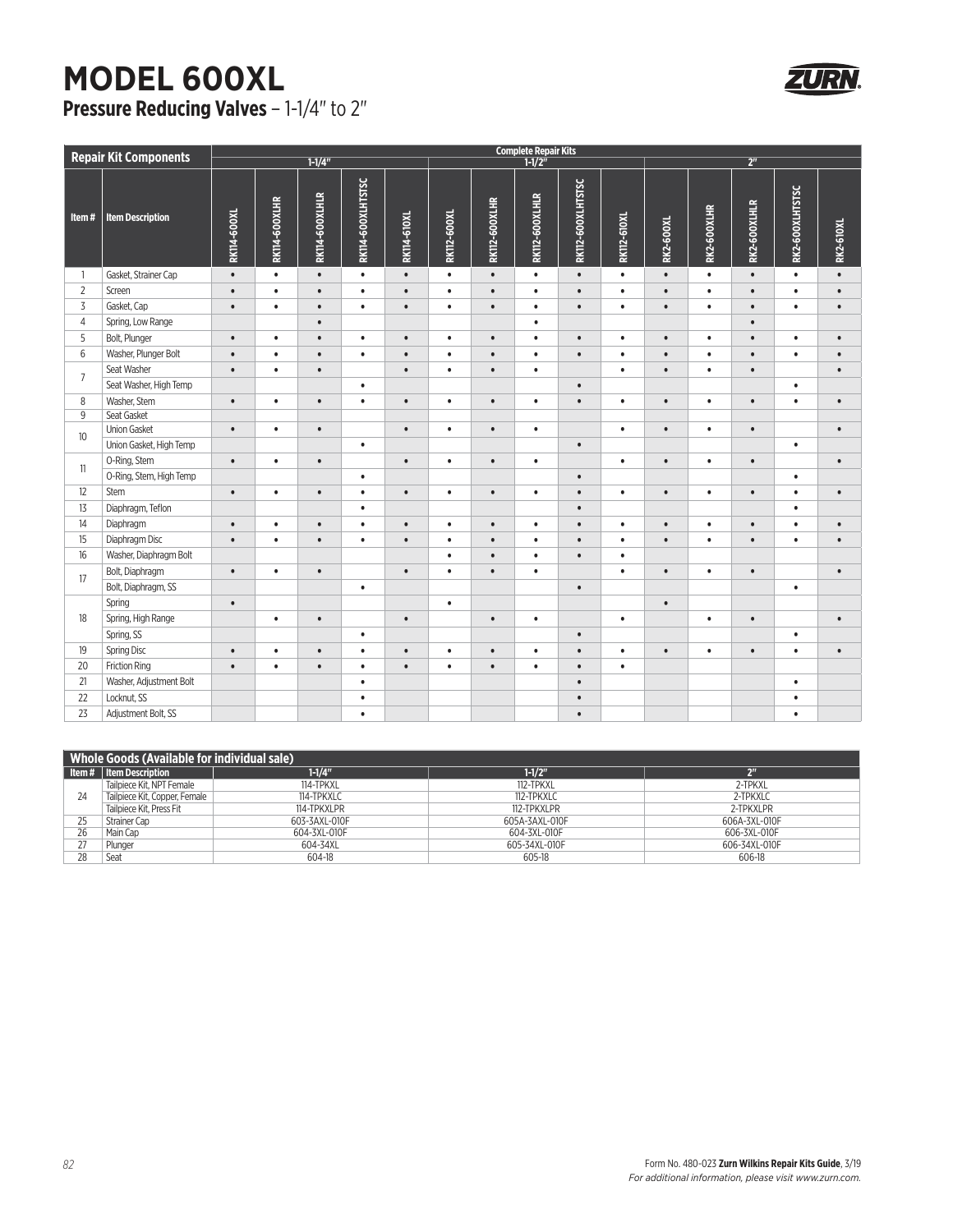## **MODEL 600XL Pressure Reducing Valves** – 1-1/4" to 2"



| <b>Repair Kit Components</b> |                         | <b>Complete Repair Kits</b> |               |                |                   |                    |             |                      |                |                   |                    |                  |             |              |                 |                  |
|------------------------------|-------------------------|-----------------------------|---------------|----------------|-------------------|--------------------|-------------|----------------------|----------------|-------------------|--------------------|------------------|-------------|--------------|-----------------|------------------|
|                              |                         | $1 - 1/4$                   |               |                |                   | $1 - 1/2$          |             |                      |                | 2 <sup>n</sup>    |                    |                  |             |              |                 |                  |
| Item#                        | <b>Item Description</b> | <b>RK114-600XL</b>          | RK114-600XLHR | RK114-600XLHLR | RK114-600XLHTSTSC | <b>RK114-610XL</b> | RK112-600XL | <b>RK112-600XLHR</b> | RK112-600XLHLR | RK112-600XLHTSTSC | <b>RK112-610XL</b> | <b>RK2-600XL</b> | RK2-600XLHR | RK2-600XLHLR | RK2-600XLHTSTSC | <b>RK2-610XL</b> |
| $\overline{1}$               | Gasket, Strainer Cap    | $\bullet$                   | $\bullet$     | $\bullet$      | $\bullet$         | $\bullet$          | $\bullet$   | $\bullet$            | $\bullet$      | $\bullet$         | $\bullet$          | $\bullet$        | $\bullet$   | $\bullet$    | $\bullet$       | $\bullet$        |
| $\overline{2}$               | Screen                  | $\bullet$                   | $\bullet$     | $\bullet$      | $\bullet$         | $\bullet$          | $\bullet$   | $\bullet$            | $\bullet$      | $\bullet$         | $\bullet$          | $\bullet$        | $\bullet$   | $\bullet$    | $\bullet$       | $\bullet$        |
| $\overline{3}$               | Gasket, Cap             | $\bullet$                   | $\bullet$     | $\bullet$      | $\bullet$         | $\bullet$          | $\bullet$   | $\bullet$            | $\bullet$      | $\bullet$         | $\bullet$          | $\bullet$        | $\bullet$   | $\bullet$    | $\bullet$       | $\bullet$        |
| $\overline{4}$               | Spring, Low Range       |                             |               | $\bullet$      |                   |                    |             |                      | $\bullet$      |                   |                    |                  |             | $\bullet$    |                 |                  |
| 5                            | Bolt, Plunger           | $\bullet$                   | $\bullet$     | $\bullet$      | $\bullet$         | $\bullet$          | $\bullet$   | $\bullet$            | $\bullet$      | $\bullet$         | $\bullet$          | $\bullet$        | $\bullet$   | $\bullet$    | $\bullet$       | $\bullet$        |
| $6\,$                        | Washer, Plunger Bolt    | $\bullet$                   | $\bullet$     | $\bullet$      | $\bullet$         | $\bullet$          | $\bullet$   | $\bullet$            | $\bullet$      | $\bullet$         | $\bullet$          | $\bullet$        | $\bullet$   | $\bullet$    | ٠               | $\bullet$        |
| $\overline{7}$               | Seat Washer             | $\bullet$                   | $\bullet$     | $\bullet$      |                   | $\bullet$          | $\bullet$   | $\bullet$            | $\bullet$      |                   | $\bullet$          | $\bullet$        | $\bullet$   | $\bullet$    |                 | $\bullet$        |
|                              | Seat Washer, High Temp  |                             |               |                | $\bullet$         |                    |             |                      |                | $\bullet$         |                    |                  |             |              | $\bullet$       |                  |
| 8                            | Washer, Stem            | $\bullet$                   | $\bullet$     | $\bullet$      | $\bullet$         | $\bullet$          | $\bullet$   | $\bullet$            | $\bullet$      | $\bullet$         | $\bullet$          | $\bullet$        | $\bullet$   | $\bullet$    | $\bullet$       | $\bullet$        |
| $\overline{9}$               | Seat Gasket             |                             |               |                |                   |                    |             |                      |                |                   |                    |                  |             |              |                 |                  |
| 10                           | <b>Union Gasket</b>     | $\bullet$                   | $\bullet$     | $\bullet$      |                   | $\bullet$          | $\bullet$   | $\bullet$            | $\bullet$      |                   | $\bullet$          | $\bullet$        | $\bullet$   | $\bullet$    |                 | $\bullet$        |
|                              | Union Gasket, High Temp |                             |               |                | $\bullet$         |                    |             |                      |                | $\bullet$         |                    |                  |             |              | $\bullet$       |                  |
| 11                           | O-Ring, Stem            | $\bullet$                   | $\bullet$     | $\bullet$      |                   | $\bullet$          | $\bullet$   | $\bullet$            | $\bullet$      |                   | $\bullet$          | $\bullet$        | $\bullet$   | $\bullet$    |                 | $\bullet$        |
|                              | O-Ring, Stem, High Temp |                             |               |                | $\bullet$         |                    |             |                      |                | $\bullet$         |                    |                  |             |              | ٠               |                  |
| 12                           | Stem                    | $\bullet$                   | $\bullet$     | $\bullet$      | $\bullet$         | $\bullet$          | $\bullet$   | $\bullet$            | $\bullet$      | $\bullet$         | $\bullet$          | $\bullet$        | $\bullet$   | $\bullet$    | ٠               | $\bullet$        |
| 13                           | Diaphragm, Teflon       |                             |               |                | $\bullet$         |                    |             |                      |                | $\bullet$         |                    |                  |             |              | ٠               |                  |
| 14                           | Diaphragm               | $\bullet$                   | $\bullet$     | $\bullet$      | $\bullet$         | $\bullet$          | $\bullet$   | $\bullet$            | $\bullet$      | $\bullet$         | $\bullet$          | $\bullet$        | $\bullet$   | $\bullet$    | ٠               | $\bullet$        |
| 15                           | Diaphragm Disc          | $\bullet$                   | $\bullet$     | $\bullet$      | $\bullet$         | $\bullet$          | $\bullet$   | $\bullet$            | $\bullet$      | $\bullet$         | $\bullet$          | $\bullet$        | $\bullet$   | $\bullet$    | ٠               | $\bullet$        |
| 16                           | Washer, Diaphragm Bolt  |                             |               |                |                   |                    | $\bullet$   | $\bullet$            | $\bullet$      | $\bullet$         | $\bullet$          |                  |             |              |                 |                  |
| 17                           | Bolt, Diaphragm         | $\bullet$                   | $\bullet$     | $\bullet$      |                   | $\bullet$          | $\bullet$   | $\bullet$            | $\bullet$      |                   | $\bullet$          | $\bullet$        | $\bullet$   | $\bullet$    |                 | $\bullet$        |
|                              | Bolt, Diaphragm, SS     |                             |               |                | $\bullet$         |                    |             |                      |                | $\bullet$         |                    |                  |             |              | $\bullet$       |                  |
| 18                           | Spring                  | $\bullet$                   |               |                |                   |                    | $\bullet$   |                      |                |                   |                    | $\bullet$        |             |              |                 |                  |
|                              | Spring, High Range      |                             | $\bullet$     | $\bullet$      |                   | $\bullet$          |             | $\bullet$            | $\bullet$      |                   | $\bullet$          |                  | $\bullet$   | $\bullet$    |                 | $\bullet$        |
|                              | Spring, SS              |                             |               |                | $\bullet$         |                    |             |                      |                | $\bullet$         |                    |                  |             |              | $\bullet$       |                  |
| 19                           | <b>Spring Disc</b>      | $\bullet$                   | $\bullet$     | $\bullet$      | $\bullet$         | $\bullet$          | $\bullet$   | $\bullet$            | $\bullet$      | $\bullet$         | $\bullet$          | $\bullet$        | $\bullet$   | $\bullet$    | ٠               | $\bullet$        |
| 20                           | <b>Friction Ring</b>    | $\bullet$                   | $\bullet$     | $\bullet$      | $\bullet$         | $\bullet$          | $\bullet$   | $\bullet$            | $\bullet$      | $\bullet$         | $\bullet$          |                  |             |              |                 |                  |
| 21                           | Washer, Adjustment Bolt |                             |               |                | $\bullet$         |                    |             |                      |                | $\bullet$         |                    |                  |             |              | $\bullet$       |                  |
| 22                           | Locknut, SS             |                             |               |                | $\bullet$         |                    |             |                      |                | $\bullet$         |                    |                  |             |              | ٠               |                  |
| 23                           | Adjustment Bolt, SS     |                             |               |                | $\bullet$         |                    |             |                      |                | $\bullet$         |                    |                  |             |              | ٠               |                  |

| <b>Whole Goods (Available for individual sale)</b> |                               |               |                |               |  |  |  |  |
|----------------------------------------------------|-------------------------------|---------------|----------------|---------------|--|--|--|--|
|                                                    | Item #   Item Description     | $1 - 1/4"$    | $1 - 1/2"$     |               |  |  |  |  |
| 24                                                 | Tailpiece Kit, NPT Female     | 114-TPKXL     | 112-TPKXL      | 2-TPKXL       |  |  |  |  |
|                                                    | Tailpiece Kit, Copper, Female | 114-TPKXLC    | 112-TPKXLC     | 2-TPKXLC      |  |  |  |  |
|                                                    | Tailpiece Kit. Press Fit      | 114-TPKXLPR   | 112-TPKXLPR    | 2-TPKXLPR     |  |  |  |  |
| 25                                                 | Strainer Cap                  | 603-3AXL-010F | 605A-3AXL-010F | 606A-3XL-010F |  |  |  |  |
| 26                                                 | Main Cap                      | 604-3XL-010F  | 604-3XL-010F   | 606-3XL-010F  |  |  |  |  |
|                                                    | Plunger                       | 604-34XL      | 605-34XL-010F  | 606-34XL-010F |  |  |  |  |
|                                                    | Seat                          | 604-18        | 605-18         | 606-18        |  |  |  |  |